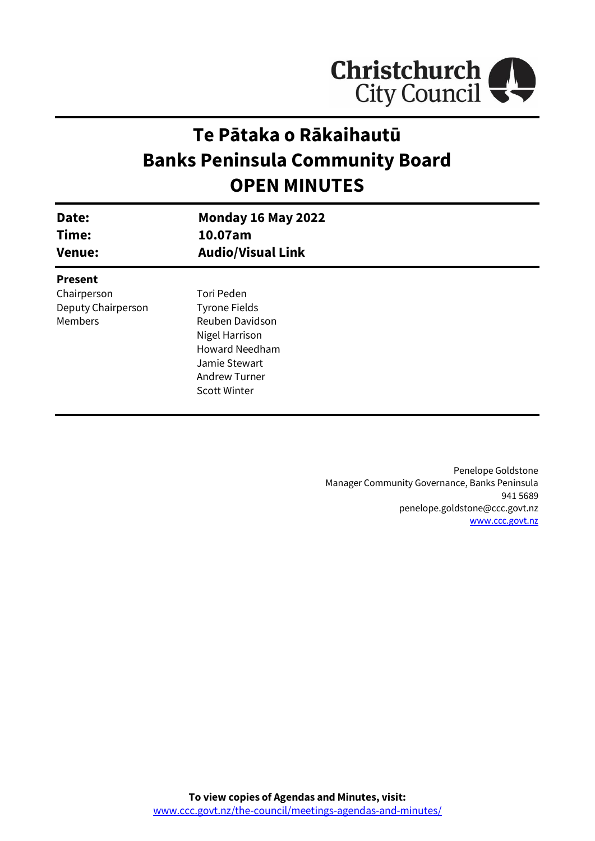

# **Te Pātaka o Rākaihautū Banks Peninsula Community Board OPEN MINUTES**

| Date:<br>Time:<br><b>Venue:</b> | <b>Monday 16 May 2022</b><br>10.07am<br><b>Audio/Visual Link</b> |  |
|---------------------------------|------------------------------------------------------------------|--|
| <b>Present</b>                  |                                                                  |  |
| Chairperson                     | Tori Peden                                                       |  |
| Deputy Chairperson              | <b>Tyrone Fields</b>                                             |  |
| Members                         | Reuben Davidson                                                  |  |
|                                 | Nigel Harrison                                                   |  |
|                                 | <b>Howard Needham</b>                                            |  |
|                                 | Jamie Stewart                                                    |  |
|                                 | <b>Andrew Turner</b>                                             |  |
|                                 | <b>Scott Winter</b>                                              |  |
|                                 |                                                                  |  |

Penelope Goldstone Manager Community Governance, Banks Peninsula 941 5689 penelope.goldstone@ccc.govt.nz [www.ccc.govt.nz](http://www.ccc.govt.nz/)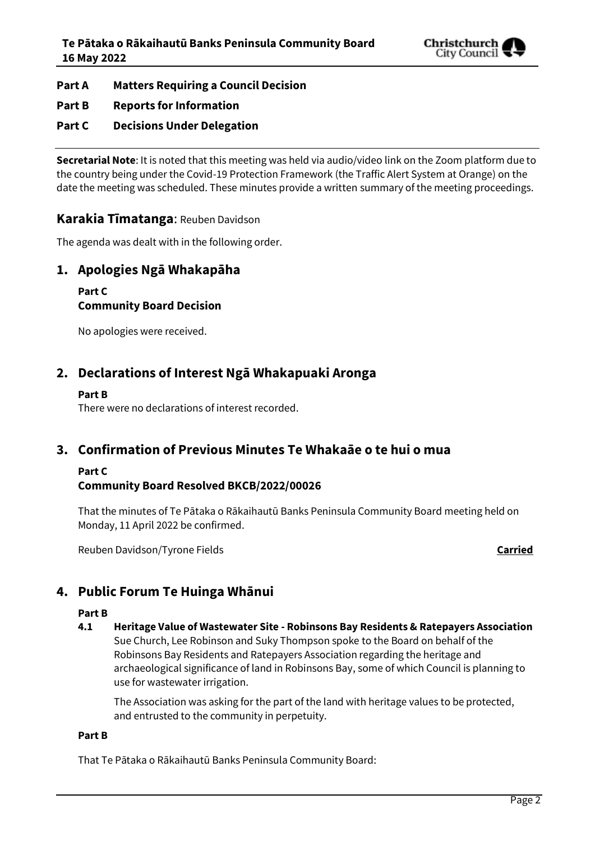

- **Part A Matters Requiring a Council Decision**
- **Part B Reports for Information**
- **Part C Decisions Under Delegation**

**Secretarial Note**: It is noted that this meeting was held via audio/video link on the Zoom platform due to the country being under the Covid-19 Protection Framework (the Traffic Alert System at Orange) on the date the meeting was scheduled. These minutes provide a written summary of the meeting proceedings.

### **Karakia Tīmatanga**: Reuben Davidson

The agenda was dealt with in the following order.

### **1. Apologies Ngā Whakapāha**

### **Part C Community Board Decision**

No apologies were received.

### **2. Declarations of Interest Ngā Whakapuaki Aronga**

### **Part B**

There were no declarations of interest recorded.

### **3. Confirmation of Previous Minutes Te Whakaāe o te hui o mua**

### **Part C**

### **Community Board Resolved BKCB/2022/00026**

That the minutes of Te Pātaka o Rākaihautū Banks Peninsula Community Board meeting held on Monday, 11 April 2022 be confirmed.

Reuben Davidson/Tyrone Fields **Carried**

### **4. Public Forum Te Huinga Whānui**

### **Part B**

**4.1 Heritage Value of Wastewater Site - Robinsons Bay Residents & Ratepayers Association** Sue Church, Lee Robinson and Suky Thompson spoke to the Board on behalf of the Robinsons Bay Residents and Ratepayers Association regarding the heritage and archaeological significance of land in Robinsons Bay, some of which Council is planning to use for wastewater irrigation.

The Association was asking for the part of the land with heritage values to be protected, and entrusted to the community in perpetuity.

### **Part B**

That Te Pātaka o Rākaihautū Banks Peninsula Community Board: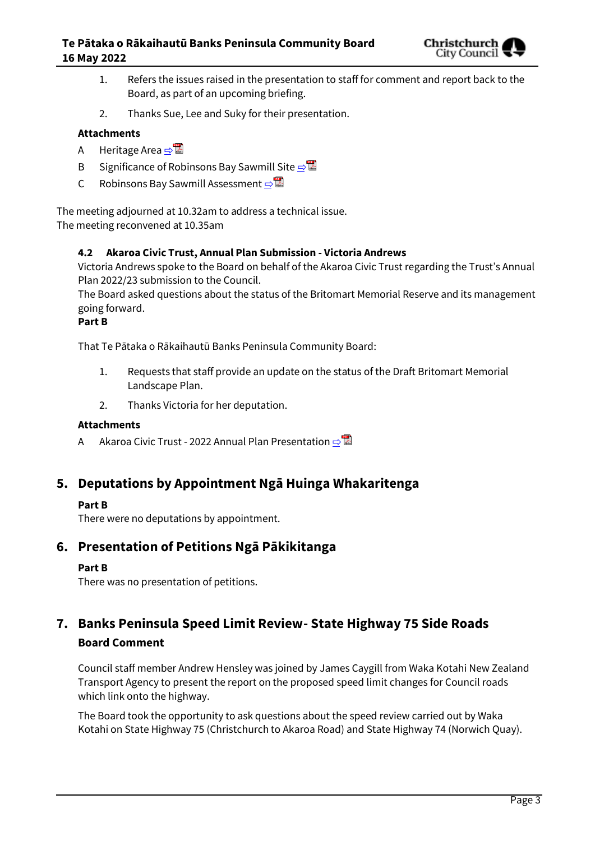

- 1. Refers the issues raised in the presentation to staff for comment and report back to the Board, as part of an upcoming briefing.
- 2. Thanks Sue, Lee and Suky for their presentation.

### **Attachments**

- A Heritage Area [⇨](../../../RedirectToInvalidFileName.aspx?FileName=BKCB_20220516_MAT_7661.PDF#PAGE=3)
- B Significance of Robinsons Bay Sawmill Site **[⇨](../../../RedirectToInvalidFileName.aspx?FileName=BKCB_20220516_MAT_7661.PDF#PAGE=5)</u>**
- C Robinsons Bay Sawmill Assessment [⇨](../../../RedirectToInvalidFileName.aspx?FileName=BKCB_20220516_MAT_7661.PDF#PAGE=17)

The meeting adjourned at 10.32am to address a technical issue. The meeting reconvened at 10.35am

### **4.2 Akaroa Civic Trust, Annual Plan Submission - Victoria Andrews**

Victoria Andrews spoke to the Board on behalf of the Akaroa Civic Trust regarding the Trust's Annual Plan 2022/23 submission to the Council.

The Board asked questions about the status of the Britomart Memorial Reserve and its management going forward.

### **Part B**

That Te Pātaka o Rākaihautū Banks Peninsula Community Board:

- 1. Requests that staff provide an update on the status of the Draft Britomart Memorial Landscape Plan.
- 2. Thanks Victoria for her deputation.

### **Attachments**

A Akaroa Civic Trust - 2022 Annual Plan Presentation **o** 

### **5. Deputations by Appointment Ngā Huinga Whakaritenga**

### **Part B**

There were no deputations by appointment.

### **6. Presentation of Petitions Ngā Pākikitanga**

### **Part B**

There was no presentation of petitions.

## **7. Banks Peninsula Speed Limit Review- State Highway 75 Side Roads Board Comment**

Council staff member Andrew Hensley was joined by James Caygill from Waka Kotahi New Zealand Transport Agency to present the report on the proposed speed limit changes for Council roads which link onto the highway.

The Board took the opportunity to ask questions about the speed review carried out by Waka Kotahi on State Highway 75 (Christchurch to Akaroa Road) and State Highway 74 (Norwich Quay).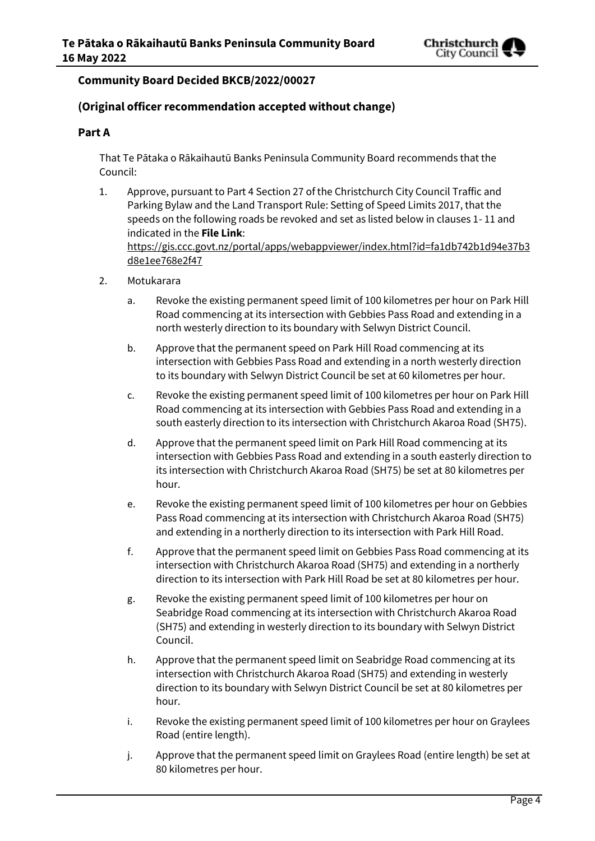

### **Community Board Decided BKCB/2022/00027**

### **(Original officer recommendation accepted without change)**

### **Part A**

That Te Pātaka o Rākaihautū Banks Peninsula Community Board recommends that the Council:

- 1. Approve, pursuant to Part 4 Section 27 of the Christchurch City Council Traffic and Parking Bylaw and the Land Transport Rule: Setting of Speed Limits 2017, that the speeds on the following roads be revoked and set as listed below in clauses 1- 11 and indicated in the **File Link**: [https://gis.ccc.govt.nz/portal/apps/webappviewer/index.html?id=fa1db742b1d94e37b3](https://aus01.safelinks.protection.outlook.com/?url=https%3A%2F%2Fgis.ccc.govt.nz%2Fportal%2Fapps%2Fwebappviewer%2Findex.html%3Fid%3Dfa1db742b1d94e37b3d8e1ee768e2f47&data=04%7C01%7CAndrew.Hensley%40ccc.govt.nz%7Cc42a6d72a2674c16166b08d99ffc99eb%7C45c97e4ebd8d4ddcbd6e2d62daa2a011%7C0%7C0%7C637716729520846658%7CUnknown%7CTWFpbGZsb3d8eyJWIjoiMC4wLjAwMDAiLCJQIjoiV2luMzIiLCJBTiI6Ik1haWwiLCJXVCI6Mn0%3D%7C1000&sdata=OZDXxq0bNx6GVWubkN5Yxieeh5wzrpqjimF7DKRkFLE%3D&reserved=0) [d8e1ee768e2f47](https://aus01.safelinks.protection.outlook.com/?url=https%3A%2F%2Fgis.ccc.govt.nz%2Fportal%2Fapps%2Fwebappviewer%2Findex.html%3Fid%3Dfa1db742b1d94e37b3d8e1ee768e2f47&data=04%7C01%7CAndrew.Hensley%40ccc.govt.nz%7Cc42a6d72a2674c16166b08d99ffc99eb%7C45c97e4ebd8d4ddcbd6e2d62daa2a011%7C0%7C0%7C637716729520846658%7CUnknown%7CTWFpbGZsb3d8eyJWIjoiMC4wLjAwMDAiLCJQIjoiV2luMzIiLCJBTiI6Ik1haWwiLCJXVCI6Mn0%3D%7C1000&sdata=OZDXxq0bNx6GVWubkN5Yxieeh5wzrpqjimF7DKRkFLE%3D&reserved=0)
- 2. Motukarara
	- a. Revoke the existing permanent speed limit of 100 kilometres per hour on Park Hill Road commencing at its intersection with Gebbies Pass Road and extending in a north westerly direction to its boundary with Selwyn District Council.
	- b. Approve that the permanent speed on Park Hill Road commencing at its intersection with Gebbies Pass Road and extending in a north westerly direction to its boundary with Selwyn District Council be set at 60 kilometres per hour.
	- c. Revoke the existing permanent speed limit of 100 kilometres per hour on Park Hill Road commencing at its intersection with Gebbies Pass Road and extending in a south easterly direction to its intersection with Christchurch Akaroa Road (SH75).
	- d. Approve that the permanent speed limit on Park Hill Road commencing at its intersection with Gebbies Pass Road and extending in a south easterly direction to its intersection with Christchurch Akaroa Road (SH75) be set at 80 kilometres per hour.
	- e. Revoke the existing permanent speed limit of 100 kilometres per hour on Gebbies Pass Road commencing at its intersection with Christchurch Akaroa Road (SH75) and extending in a northerly direction to its intersection with Park Hill Road.
	- f. Approve that the permanent speed limit on Gebbies Pass Road commencing at its intersection with Christchurch Akaroa Road (SH75) and extending in a northerly direction to its intersection with Park Hill Road be set at 80 kilometres per hour.
	- g. Revoke the existing permanent speed limit of 100 kilometres per hour on Seabridge Road commencing at its intersection with Christchurch Akaroa Road (SH75) and extending in westerly direction to its boundary with Selwyn District Council.
	- h. Approve that the permanent speed limit on Seabridge Road commencing at its intersection with Christchurch Akaroa Road (SH75) and extending in westerly direction to its boundary with Selwyn District Council be set at 80 kilometres per hour.
	- i. Revoke the existing permanent speed limit of 100 kilometres per hour on Graylees Road (entire length).
	- j. Approve that the permanent speed limit on Graylees Road (entire length) be set at 80 kilometres per hour.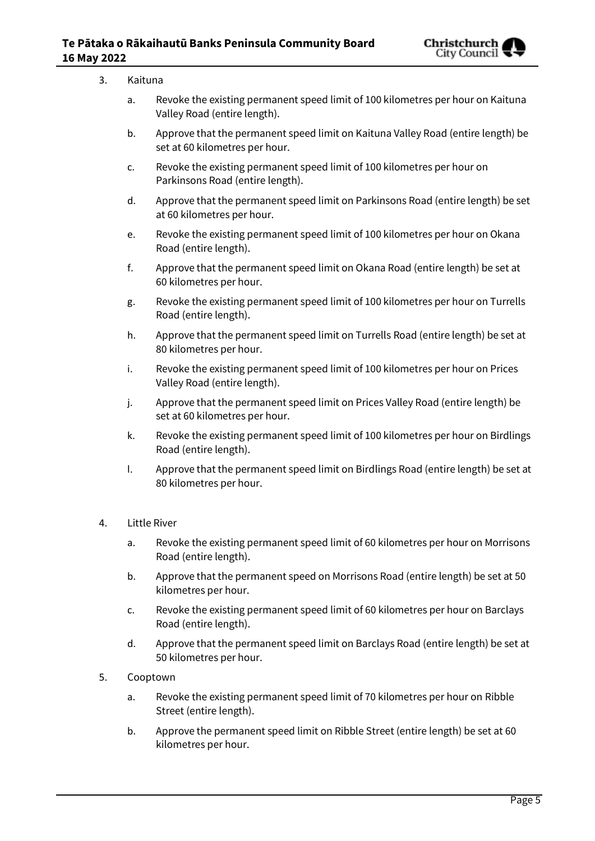

| 3. | Kaituna  |                                                                                                                    |  |  |
|----|----------|--------------------------------------------------------------------------------------------------------------------|--|--|
|    | a.       | Revoke the existing permanent speed limit of 100 kilometres per hour on Kaituna<br>Valley Road (entire length).    |  |  |
|    | b.       | Approve that the permanent speed limit on Kaituna Valley Road (entire length) be<br>set at 60 kilometres per hour. |  |  |
|    | c.       | Revoke the existing permanent speed limit of 100 kilometres per hour on<br>Parkinsons Road (entire length).        |  |  |
|    | d.       | Approve that the permanent speed limit on Parkinsons Road (entire length) be set<br>at 60 kilometres per hour.     |  |  |
|    | e.       | Revoke the existing permanent speed limit of 100 kilometres per hour on Okana<br>Road (entire length).             |  |  |
|    | f.       | Approve that the permanent speed limit on Okana Road (entire length) be set at<br>60 kilometres per hour.          |  |  |
|    | g.       | Revoke the existing permanent speed limit of 100 kilometres per hour on Turrells<br>Road (entire length).          |  |  |
|    | h.       | Approve that the permanent speed limit on Turrells Road (entire length) be set at<br>80 kilometres per hour.       |  |  |
|    | i.       | Revoke the existing permanent speed limit of 100 kilometres per hour on Prices<br>Valley Road (entire length).     |  |  |
|    | j.       | Approve that the permanent speed limit on Prices Valley Road (entire length) be<br>set at 60 kilometres per hour.  |  |  |
|    | k.       | Revoke the existing permanent speed limit of 100 kilometres per hour on Birdlings<br>Road (entire length).         |  |  |
|    | Ι.       | Approve that the permanent speed limit on Birdlings Road (entire length) be set at<br>80 kilometres per hour.      |  |  |
| 4. |          | Little River                                                                                                       |  |  |
|    | a.       | Revoke the existing permanent speed limit of 60 kilometres per hour on Morrisons<br>Road (entire length).          |  |  |
|    | b.       | Approve that the permanent speed on Morrisons Road (entire length) be set at 50<br>kilometres per hour.            |  |  |
|    | c.       | Revoke the existing permanent speed limit of 60 kilometres per hour on Barclays<br>Road (entire length).           |  |  |
|    | d.       | Approve that the permanent speed limit on Barclays Road (entire length) be set at<br>50 kilometres per hour.       |  |  |
| 5. | Cooptown |                                                                                                                    |  |  |
|    | a.       | Revoke the existing permanent speed limit of 70 kilometres per hour on Ribble<br>Street (entire length).           |  |  |

b. Approve the permanent speed limit on Ribble Street (entire length) be set at 60 kilometres per hour.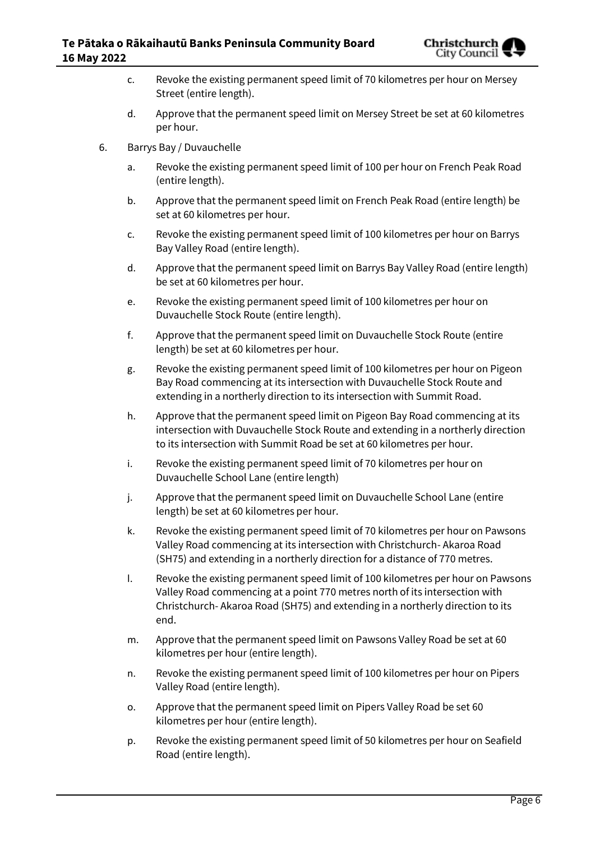

- c. Revoke the existing permanent speed limit of 70 kilometres per hour on Mersey Street (entire length).
- d. Approve that the permanent speed limit on Mersey Street be set at 60 kilometres per hour.
- 6. Barrys Bay / Duvauchelle
	- a. Revoke the existing permanent speed limit of 100 per hour on French Peak Road (entire length).
	- b. Approve that the permanent speed limit on French Peak Road (entire length) be set at 60 kilometres per hour.
	- c. Revoke the existing permanent speed limit of 100 kilometres per hour on Barrys Bay Valley Road (entire length).
	- d. Approve that the permanent speed limit on Barrys Bay Valley Road (entire length) be set at 60 kilometres per hour.
	- e. Revoke the existing permanent speed limit of 100 kilometres per hour on Duvauchelle Stock Route (entire length).
	- f. Approve that the permanent speed limit on Duvauchelle Stock Route (entire length) be set at 60 kilometres per hour.
	- g. Revoke the existing permanent speed limit of 100 kilometres per hour on Pigeon Bay Road commencing at its intersection with Duvauchelle Stock Route and extending in a northerly direction to its intersection with Summit Road.
	- h. Approve that the permanent speed limit on Pigeon Bay Road commencing at its intersection with Duvauchelle Stock Route and extending in a northerly direction to its intersection with Summit Road be set at 60 kilometres per hour.
	- i. Revoke the existing permanent speed limit of 70 kilometres per hour on Duvauchelle School Lane (entire length)
	- j. Approve that the permanent speed limit on Duvauchelle School Lane (entire length) be set at 60 kilometres per hour.
	- k. Revoke the existing permanent speed limit of 70 kilometres per hour on Pawsons Valley Road commencing at its intersection with Christchurch- Akaroa Road (SH75) and extending in a northerly direction for a distance of 770 metres.
	- l. Revoke the existing permanent speed limit of 100 kilometres per hour on Pawsons Valley Road commencing at a point 770 metres north of its intersection with Christchurch- Akaroa Road (SH75) and extending in a northerly direction to its end.
	- m. Approve that the permanent speed limit on Pawsons Valley Road be set at 60 kilometres per hour (entire length).
	- n. Revoke the existing permanent speed limit of 100 kilometres per hour on Pipers Valley Road (entire length).
	- o. Approve that the permanent speed limit on Pipers Valley Road be set 60 kilometres per hour (entire length).
	- p. Revoke the existing permanent speed limit of 50 kilometres per hour on Seafield Road (entire length).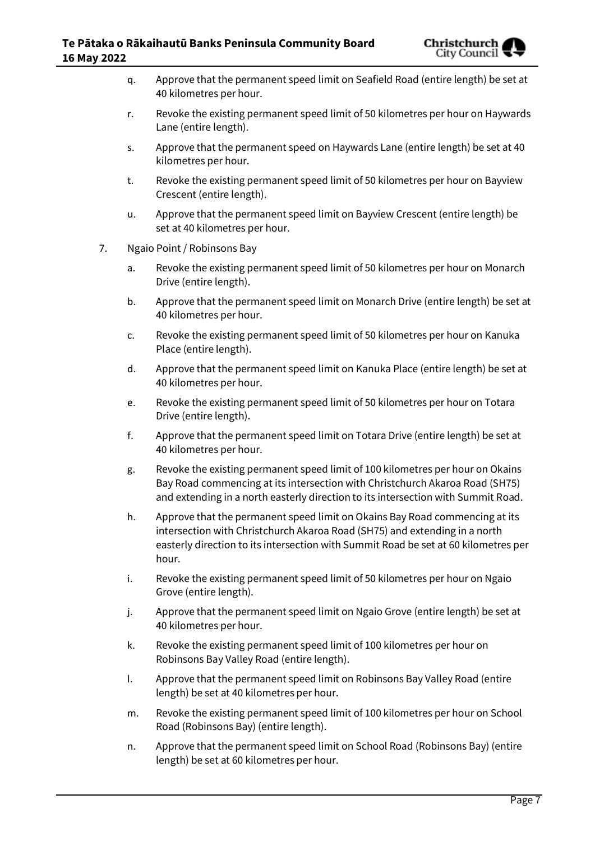

- q. Approve that the permanent speed limit on Seafield Road (entire length) be set at 40 kilometres per hour.
- r. Revoke the existing permanent speed limit of 50 kilometres per hour on Haywards Lane (entire length).
- s. Approve that the permanent speed on Haywards Lane (entire length) be set at 40 kilometres per hour.
- t. Revoke the existing permanent speed limit of 50 kilometres per hour on Bayview Crescent (entire length).
- u. Approve that the permanent speed limit on Bayview Crescent (entire length) be set at 40 kilometres per hour.
- 7. Ngaio Point / Robinsons Bay
	- a. Revoke the existing permanent speed limit of 50 kilometres per hour on Monarch Drive (entire length).
	- b. Approve that the permanent speed limit on Monarch Drive (entire length) be set at 40 kilometres per hour.
	- c. Revoke the existing permanent speed limit of 50 kilometres per hour on Kanuka Place (entire length).
	- d. Approve that the permanent speed limit on Kanuka Place (entire length) be set at 40 kilometres per hour.
	- e. Revoke the existing permanent speed limit of 50 kilometres per hour on Totara Drive (entire length).
	- f. Approve that the permanent speed limit on Totara Drive (entire length) be set at 40 kilometres per hour.
	- g. Revoke the existing permanent speed limit of 100 kilometres per hour on Okains Bay Road commencing at its intersection with Christchurch Akaroa Road (SH75) and extending in a north easterly direction to its intersection with Summit Road.
	- h. Approve that the permanent speed limit on Okains Bay Road commencing at its intersection with Christchurch Akaroa Road (SH75) and extending in a north easterly direction to its intersection with Summit Road be set at 60 kilometres per hour.
	- i. Revoke the existing permanent speed limit of 50 kilometres per hour on Ngaio Grove (entire length).
	- j. Approve that the permanent speed limit on Ngaio Grove (entire length) be set at 40 kilometres per hour.
	- k. Revoke the existing permanent speed limit of 100 kilometres per hour on Robinsons Bay Valley Road (entire length).
	- l. Approve that the permanent speed limit on Robinsons Bay Valley Road (entire length) be set at 40 kilometres per hour.
	- m. Revoke the existing permanent speed limit of 100 kilometres per hour on School Road (Robinsons Bay) (entire length).
	- n. Approve that the permanent speed limit on School Road (Robinsons Bay) (entire length) be set at 60 kilometres per hour.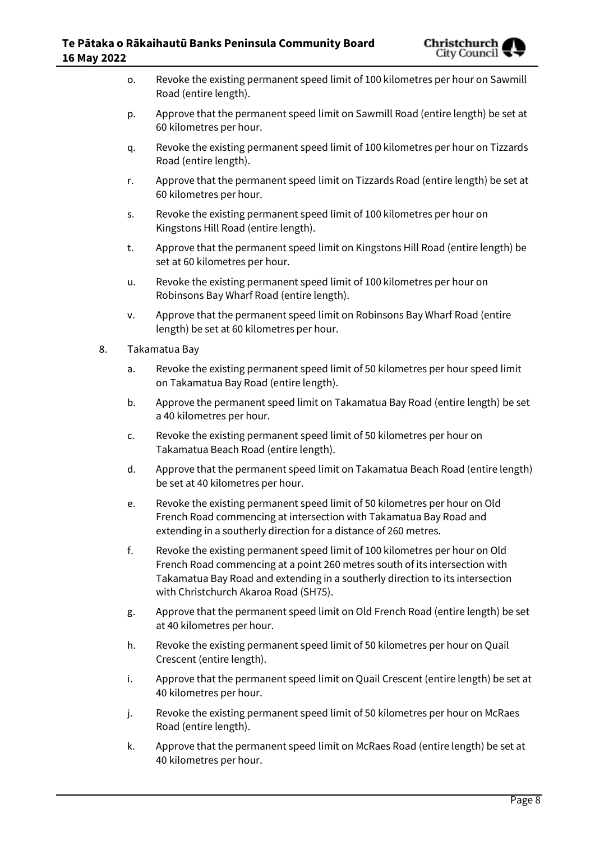

- o. Revoke the existing permanent speed limit of 100 kilometres per hour on Sawmill Road (entire length).
- p. Approve that the permanent speed limit on Sawmill Road (entire length) be set at 60 kilometres per hour.
- q. Revoke the existing permanent speed limit of 100 kilometres per hour on Tizzards Road (entire length).
- r. Approve that the permanent speed limit on Tizzards Road (entire length) be set at 60 kilometres per hour.
- s. Revoke the existing permanent speed limit of 100 kilometres per hour on Kingstons Hill Road (entire length).
- t. Approve that the permanent speed limit on Kingstons Hill Road (entire length) be set at 60 kilometres per hour.
- u. Revoke the existing permanent speed limit of 100 kilometres per hour on Robinsons Bay Wharf Road (entire length).
- v. Approve that the permanent speed limit on Robinsons Bay Wharf Road (entire length) be set at 60 kilometres per hour.
- 8. Takamatua Bay
	- a. Revoke the existing permanent speed limit of 50 kilometres per hour speed limit on Takamatua Bay Road (entire length).
	- b. Approve the permanent speed limit on Takamatua Bay Road (entire length) be set a 40 kilometres per hour.
	- c. Revoke the existing permanent speed limit of 50 kilometres per hour on Takamatua Beach Road (entire length).
	- d. Approve that the permanent speed limit on Takamatua Beach Road (entire length) be set at 40 kilometres per hour.
	- e. Revoke the existing permanent speed limit of 50 kilometres per hour on Old French Road commencing at intersection with Takamatua Bay Road and extending in a southerly direction for a distance of 260 metres.
	- f. Revoke the existing permanent speed limit of 100 kilometres per hour on Old French Road commencing at a point 260 metres south of its intersection with Takamatua Bay Road and extending in a southerly direction to its intersection with Christchurch Akaroa Road (SH75).
	- g. Approve that the permanent speed limit on Old French Road (entire length) be set at 40 kilometres per hour.
	- h. Revoke the existing permanent speed limit of 50 kilometres per hour on Quail Crescent (entire length).
	- i. Approve that the permanent speed limit on Quail Crescent (entire length) be set at 40 kilometres per hour.
	- j. Revoke the existing permanent speed limit of 50 kilometres per hour on McRaes Road (entire length).
	- k. Approve that the permanent speed limit on McRaes Road (entire length) be set at 40 kilometres per hour.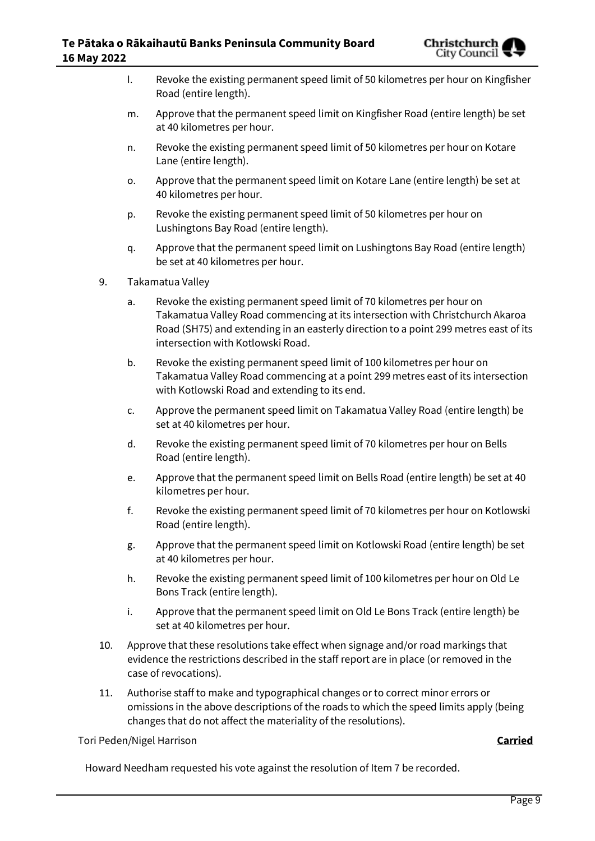

- l. Revoke the existing permanent speed limit of 50 kilometres per hour on Kingfisher Road (entire length).
- m. Approve that the permanent speed limit on Kingfisher Road (entire length) be set at 40 kilometres per hour.
- n. Revoke the existing permanent speed limit of 50 kilometres per hour on Kotare Lane (entire length).
- o. Approve that the permanent speed limit on Kotare Lane (entire length) be set at 40 kilometres per hour.
- p. Revoke the existing permanent speed limit of 50 kilometres per hour on Lushingtons Bay Road (entire length).
- q. Approve that the permanent speed limit on Lushingtons Bay Road (entire length) be set at 40 kilometres per hour.
- 9. Takamatua Valley
	- a. Revoke the existing permanent speed limit of 70 kilometres per hour on Takamatua Valley Road commencing at its intersection with Christchurch Akaroa Road (SH75) and extending in an easterly direction to a point 299 metres east of its intersection with Kotlowski Road.
	- b. Revoke the existing permanent speed limit of 100 kilometres per hour on Takamatua Valley Road commencing at a point 299 metres east of its intersection with Kotlowski Road and extending to its end.
	- c. Approve the permanent speed limit on Takamatua Valley Road (entire length) be set at 40 kilometres per hour.
	- d. Revoke the existing permanent speed limit of 70 kilometres per hour on Bells Road (entire length).
	- e. Approve that the permanent speed limit on Bells Road (entire length) be set at 40 kilometres per hour.
	- f. Revoke the existing permanent speed limit of 70 kilometres per hour on Kotlowski Road (entire length).
	- g. Approve that the permanent speed limit on Kotlowski Road (entire length) be set at 40 kilometres per hour.
	- h. Revoke the existing permanent speed limit of 100 kilometres per hour on Old Le Bons Track (entire length).
	- i. Approve that the permanent speed limit on Old Le Bons Track (entire length) be set at 40 kilometres per hour.
- 10. Approve that these resolutions take effect when signage and/or road markings that evidence the restrictions described in the staff report are in place (or removed in the case of revocations).
- 11. Authorise staff to make and typographical changes or to correct minor errors or omissions in the above descriptions of the roads to which the speed limits apply (being changes that do not affect the materiality of the resolutions).

Tori Peden/Nigel Harrison **Carried**

Howard Needham requested his vote against the resolution of Item 7 be recorded.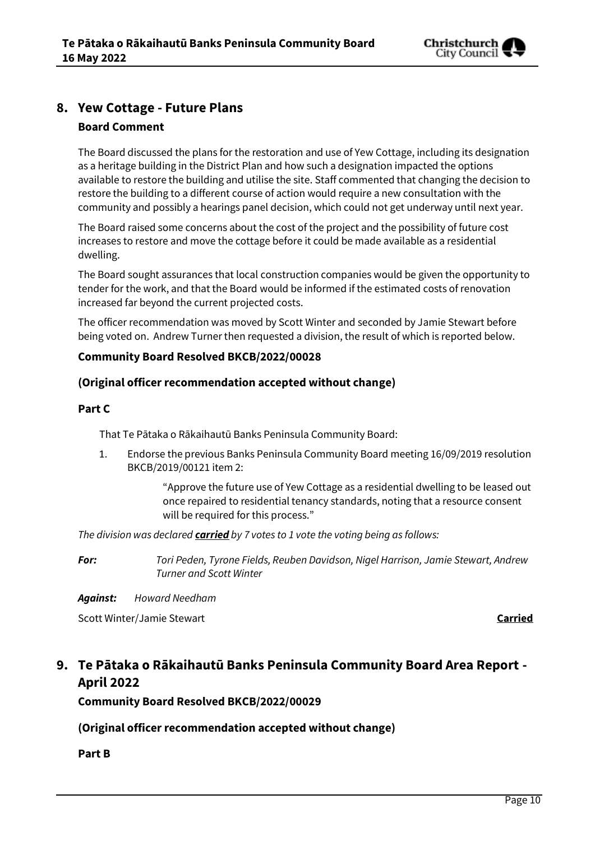

### **8. Yew Cottage - Future Plans**

### **Board Comment**

The Board discussed the plans for the restoration and use of Yew Cottage, including its designation as a heritage building in the District Plan and how such a designation impacted the options available to restore the building and utilise the site. Staff commented that changing the decision to restore the building to a different course of action would require a new consultation with the community and possibly a hearings panel decision, which could not get underway until next year.

The Board raised some concerns about the cost of the project and the possibility of future cost increases to restore and move the cottage before it could be made available as a residential dwelling.

The Board sought assurances that local construction companies would be given the opportunity to tender for the work, and that the Board would be informed if the estimated costs of renovation increased far beyond the current projected costs.

The officer recommendation was moved by Scott Winter and seconded by Jamie Stewart before being voted on. Andrew Turner then requested a division, the result of which is reported below.

### **Community Board Resolved BKCB/2022/00028**

### **(Original officer recommendation accepted without change)**

### **Part C**

That Te Pātaka o Rākaihautū Banks Peninsula Community Board:

1. Endorse the previous Banks Peninsula Community Board meeting 16/09/2019 resolution BKCB/2019/00121 item 2:

> "Approve the future use of Yew Cottage as a residential dwelling to be leased out once repaired to residential tenancy standards, noting that a resource consent will be required for this process."

*The division was declared carried by 7 votes to 1 vote the voting being as follows:*

*For: Tori Peden, Tyrone Fields, Reuben Davidson, Nigel Harrison, Jamie Stewart, Andrew Turner and Scott Winter*

*Against: Howard Needham*

Scott Winter/Jamie Stewart **Carried**

## **9. Te Pātaka o Rākaihautū Banks Peninsula Community Board Area Report - April 2022**

**Community Board Resolved BKCB/2022/00029**

**(Original officer recommendation accepted without change)**

**Part B**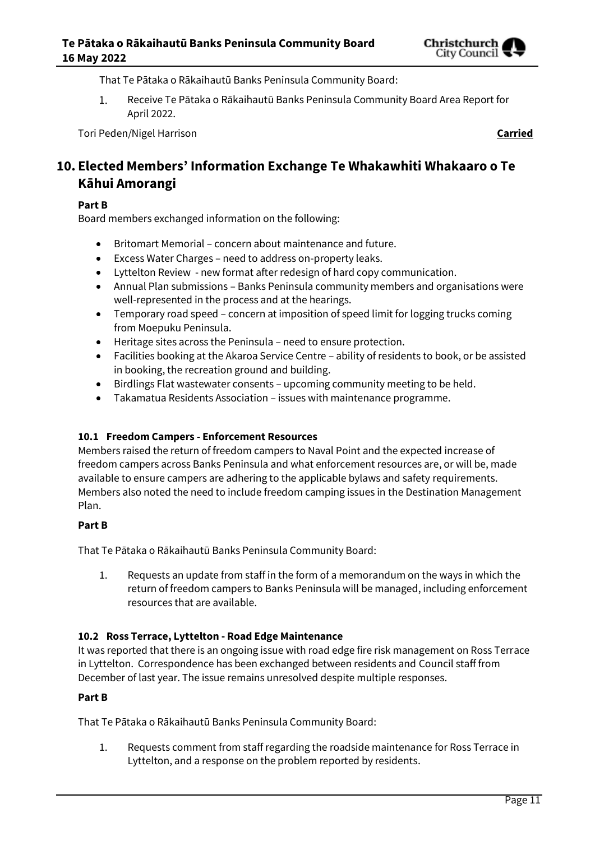

That Te Pātaka o Rākaihautū Banks Peninsula Community Board:

 $1.$ Receive Te Pātaka o Rākaihautū Banks Peninsula Community Board Area Report for April 2022.

Tori Peden/Nigel Harrison **Carried**

**10. Elected Members' Information Exchange Te Whakawhiti Whakaaro o Te Kāhui Amorangi**

### **Part B**

Board members exchanged information on the following:

- Britomart Memorial concern about maintenance and future.
- Excess Water Charges need to address on-property leaks.
- Lyttelton Review new format after redesign of hard copy communication.
- Annual Plan submissions Banks Peninsula community members and organisations were well-represented in the process and at the hearings.
- Temporary road speed concern at imposition of speed limit for logging trucks coming from Moepuku Peninsula.
- Heritage sites across the Peninsula need to ensure protection.
- Facilities booking at the Akaroa Service Centre ability of residents to book, or be assisted in booking, the recreation ground and building.
- Birdlings Flat wastewater consents upcoming community meeting to be held.
- Takamatua Residents Association issues with maintenance programme.

### **10.1 Freedom Campers - Enforcement Resources**

Members raised the return of freedom campers to Naval Point and the expected increase of freedom campers across Banks Peninsula and what enforcement resources are, or will be, made available to ensure campers are adhering to the applicable bylaws and safety requirements. Members also noted the need to include freedom camping issues in the Destination Management Plan.

### **Part B**

That Te Pātaka o Rākaihautū Banks Peninsula Community Board:

1. Requests an update from staff in the form of a memorandum on the ways in which the return of freedom campers to Banks Peninsula will be managed, including enforcement resources that are available.

### **10.2 Ross Terrace, Lyttelton - Road Edge Maintenance**

It was reported that there is an ongoing issue with road edge fire risk management on Ross Terrace in Lyttelton. Correspondence has been exchanged between residents and Council staff from December of last year. The issue remains unresolved despite multiple responses.

### **Part B**

That Te Pātaka o Rākaihautū Banks Peninsula Community Board:

1. Requests comment from staff regarding the roadside maintenance for Ross Terrace in Lyttelton, and a response on the problem reported by residents.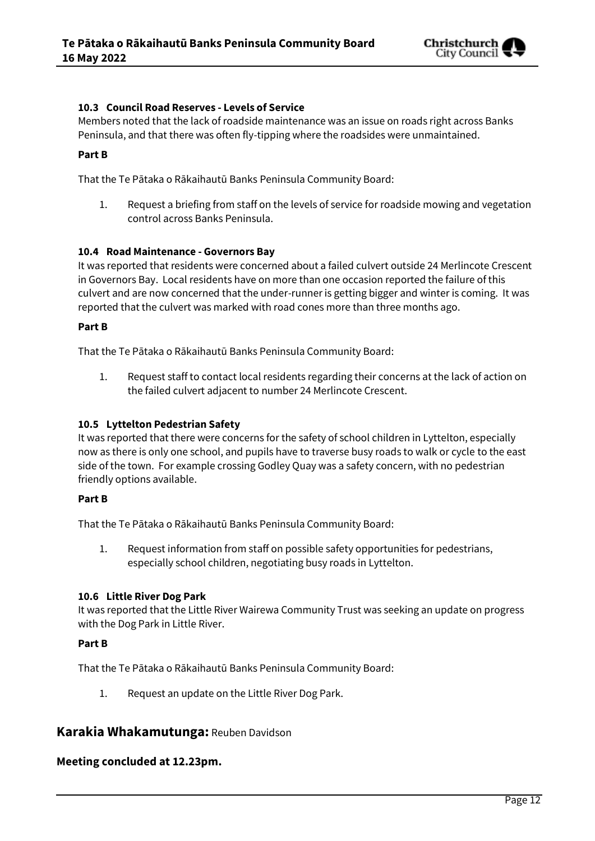

### **10.3 Council Road Reserves - Levels of Service**

Members noted that the lack of roadside maintenance was an issue on roads right across Banks Peninsula, and that there was often fly-tipping where the roadsides were unmaintained.

### **Part B**

That the Te Pātaka o Rākaihautū Banks Peninsula Community Board:

1. Request a briefing from staff on the levels of service for roadside mowing and vegetation control across Banks Peninsula.

### **10.4 Road Maintenance - Governors Bay**

It was reported that residents were concerned about a failed culvert outside 24 Merlincote Crescent in Governors Bay. Local residents have on more than one occasion reported the failure of this culvert and are now concerned that the under-runner is getting bigger and winter is coming. It was reported that the culvert was marked with road cones more than three months ago.

### **Part B**

That the Te Pātaka o Rākaihautū Banks Peninsula Community Board:

1. Request staff to contact local residents regarding their concerns at the lack of action on the failed culvert adjacent to number 24 Merlincote Crescent.

### **10.5 Lyttelton Pedestrian Safety**

It was reported that there were concerns for the safety of school children in Lyttelton, especially now as there is only one school, and pupils have to traverse busy roads to walk or cycle to the east side of the town. For example crossing Godley Quay was a safety concern, with no pedestrian friendly options available.

### **Part B**

That the Te Pātaka o Rākaihautū Banks Peninsula Community Board:

1. Request information from staff on possible safety opportunities for pedestrians, especially school children, negotiating busy roads in Lyttelton.

### **10.6 Little River Dog Park**

It was reported that the Little River Wairewa Community Trust was seeking an update on progress with the Dog Park in Little River.

### **Part B**

That the Te Pātaka o Rākaihautū Banks Peninsula Community Board:

1. Request an update on the Little River Dog Park.

### **Karakia Whakamutunga:** Reuben Davidson

### **Meeting concluded at 12.23pm.**